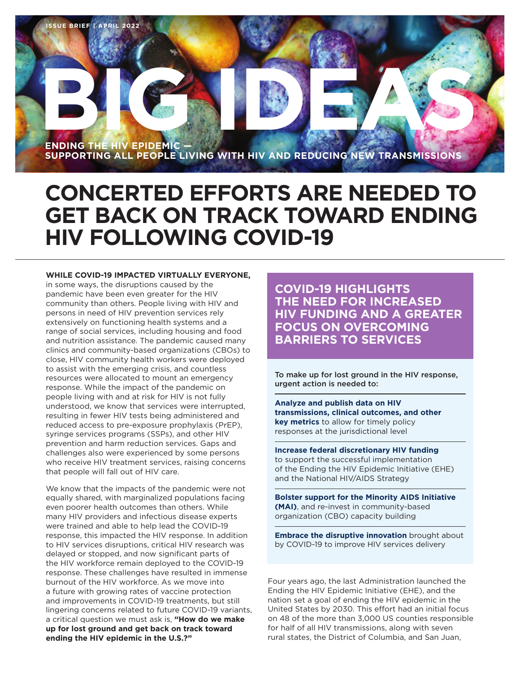

# **CONCERTED EFFORTS ARE NEEDED TO GET BACK ON TRACK TOWARD ENDING HIV FOLLOWING COVID-19**

#### **WHILE COVID-19 IMPACTED VIRTUALLY EVERYONE,**

in some ways, the disruptions caused by the pandemic have been even greater for the HIV community than others. People living with HIV and persons in need of HIV prevention services rely extensively on functioning health systems and a range of social services, including housing and food and nutrition assistance. The pandemic caused many clinics and community-based organizations (CBOs) to close, HIV community health workers were deployed to assist with the emerging crisis, and countless resources were allocated to mount an emergency response. While the impact of the pandemic on people living with and at risk for HIV is not fully understood, we know that services were interrupted, resulting in fewer HIV tests being administered and reduced access to pre-exposure prophylaxis (PrEP), syringe services programs (SSPs), and other HIV prevention and harm reduction services. Gaps and challenges also were experienced by some persons who receive HIV treatment services, raising concerns that people will fall out of HIV care.

We know that the impacts of the pandemic were not equally shared, with marginalized populations facing even poorer health outcomes than others. While many HIV providers and infectious disease experts were trained and able to help lead the COVID-19 response, this impacted the HIV response. In addition to HIV services disruptions, critical HIV research was delayed or stopped, and now significant parts of the HIV workforce remain deployed to the COVID-19 response. These challenges have resulted in immense burnout of the HIV workforce. As we move into a future with growing rates of vaccine protection and improvements in COVID-19 treatments, but still lingering concerns related to future COVID-19 variants, a critical question we must ask is, **"How do we make up for lost ground and get back on track toward ending the HIV epidemic in the U.S.?"** 

**COVID-19 HIGHLIGHTS THE NEED FOR INCREASED HIV FUNDING AND A GREATER FOCUS ON OVERCOMING BARRIERS TO SERVICES**

To make up for lost ground in the HIV response, urgent action is needed to:

**Analyze and publish data on HIV transmissions, clinical outcomes, and other key metrics** to allow for timely policy responses at the jurisdictional level

**Increase federal discretionary HIV funding**  to support the successful implementation of the Ending the HIV Epidemic Initiative (EHE) and the National HIV/AIDS Strategy

**Bolster support for the Minority AIDS Initiative (MAI)**, and re-invest in community-based organization (CBO) capacity building

**Embrace the disruptive innovation** brought about by COVID-19 to improve HIV services delivery

Four years ago, the last Administration launched the Ending the HIV Epidemic Initiative (EHE), and the nation set a goal of ending the HIV epidemic in the United States by 2030. This effort had an initial focus on 48 of the more than 3,000 US counties responsible for half of all HIV transmissions, along with seven rural states, the District of Columbia, and San Juan,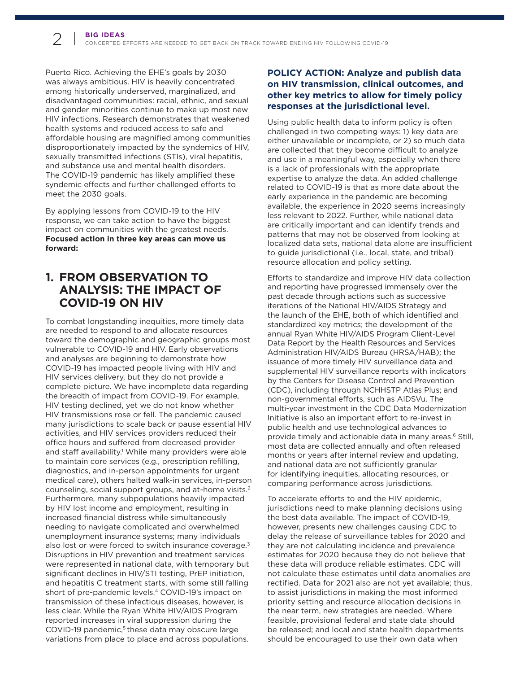Puerto Rico. Achieving the EHE's goals by 2030 was always ambitious. HIV is heavily concentrated among historically underserved, marginalized, and disadvantaged communities: racial, ethnic, and sexual and gender minorities continue to make up most new HIV infections. Research demonstrates that weakened health systems and reduced access to safe and affordable housing are magnified among communities disproportionately impacted by the syndemics of HIV, sexually transmitted infections (STIs), viral hepatitis, and substance use and mental health disorders. The COVID-19 pandemic has likely amplified these syndemic effects and further challenged efforts to meet the 2030 goals.

By applying lessons from COVID-19 to the HIV response, we can take action to have the biggest impact on communities with the greatest needs. **Focused action in three key areas can move us forward:**

# **1. FROM OBSERVATION TO ANALYSIS: THE IMPACT OF COVID-19 ON HIV**

To combat longstanding inequities, more timely data are needed to respond to and allocate resources toward the demographic and geographic groups most vulnerable to COVID-19 and HIV. Early observations and analyses are beginning to demonstrate how COVID-19 has impacted people living with HIV and HIV services delivery, but they do not provide a complete picture. We have incomplete data regarding the breadth of impact from COVID-19. For example, HIV testing declined, yet we do not know whether HIV transmissions rose or fell. The pandemic caused many jurisdictions to scale back or pause essential HIV activities, and HIV services providers reduced their office hours and suffered from decreased provider and staff availability.<sup>1</sup> While many providers were able to maintain core services (e.g., prescription refilling, diagnostics, and in-person appointments for urgent medical care), others halted walk-in services, in-person counseling, social support groups, and at-home visits.[2](#page-7-1) Furthermore, many subpopulations heavily impacted by HIV lost income and employment, resulting in increased financial distress while simultaneously needing to navigate complicated and overwhelmed unemployment insurance systems; many individuals also lost or were forced to switch insurance coverage.<sup>3</sup> Disruptions in HIV prevention and treatment services were represented in national data, with temporary but significant declines in HIV/STI testing, PrEP initiation, and hepatitis C treatment starts, with some still falling short of pre-pandemic levels.[4](#page-7-3) COVID-19's impact on transmission of these infectious diseases, however, is less clear. While the Ryan White HIV/AIDS Program reported increases in viral suppression during the COVID-19 pandemic,<sup>5</sup> these data may obscure large variations from place to place and across populations.

### **POLICY ACTION: Analyze and publish data on HIV transmission, clinical outcomes, and other key metrics to allow for timely policy responses at the jurisdictional level.**

Using public health data to inform policy is often challenged in two competing ways: 1) key data are either unavailable or incomplete, or 2) so much data are collected that they become difficult to analyze and use in a meaningful way, especially when there is a lack of professionals with the appropriate expertise to analyze the data. An added challenge related to COVID-19 is that as more data about the early experience in the pandemic are becoming available, the experience in 2020 seems increasingly less relevant to 2022. Further, while national data are critically important and can identify trends and patterns that may not be observed from looking at localized data sets, national data alone are insufficient to guide jurisdictional (i.e., local, state, and tribal) resource allocation and policy setting.

Efforts to standardize and improve HIV data collection and reporting have progressed immensely over the past decade through actions such as successive iterations of the National HIV/AIDS Strategy and the launch of the EHE, both of which identified and standardized key metrics; the development of the annual Ryan White HIV/AIDS Program Client-Level Data Report by the Health Resources and Services Administration HIV/AIDS Bureau (HRSA/HAB); the issuance of more timely HIV surveillance data and supplemental HIV surveillance reports with indicators by the Centers for Disease Control and Prevention (CDC), including through NCHHSTP Atlas Plus; and non-governmental efforts, such as AIDSVu. The multi-year investment in the CDC Data Modernization Initiative is also an important effort to re-invest in public health and use technological advances to provide timely and actionable data in many areas[.6](#page-7-5) Still, most data are collected annually and often released months or years after internal review and updating, and national data are not sufficiently granular for identifying inequities, allocating resources, or comparing performance across jurisdictions.

To accelerate efforts to end the HIV epidemic, jurisdictions need to make planning decisions using the best data available. The impact of COVID-19, however, presents new challenges causing CDC to delay the release of surveillance tables for 2020 and they are not calculating incidence and prevalence estimates for 2020 because they do not believe that these data will produce reliable estimates. CDC will not calculate these estimates until data anomalies are rectified. Data for 2021 also are not yet available; thus, to assist jurisdictions in making the most informed priority setting and resource allocation decisions in the near term, new strategies are needed. Where feasible, provisional federal and state data should be released; and local and state health departments should be encouraged to use their own data when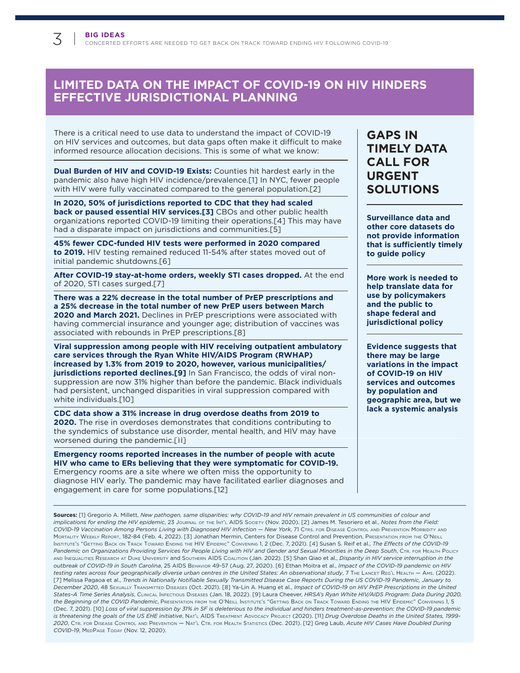# **LIMITED DATA ON THE IMPACT OF COVID-19 ON HIV HINDERS EFFECTIVE JURISDICTIONAL PLANNING**

There is a critical need to use data to understand the impact of COVID-19 on HIV services and outcomes, but data gaps often make it difficult to make informed resource allocation decisions. This is some of what we know:

**Dual Burden of HIV and COVID-19 Exists:** Counties hit hardest early in the pandemic also have high HIV incidence/prevalence.[1] In NYC, fewer people with HIV were fully vaccinated compared to the general population.[2]

**In 2020, 50% of jurisdictions reported to CDC that they had scaled back or paused essential HIV services.[3]** CBOs and other public health organizations reported COVID-19 limiting their operations.[4] This may have had a disparate impact on jurisdictions and communities.[5]

**45% fewer CDC-funded HIV tests were performed in 2020 compared to 2019.** HIV testing remained reduced 11-54% after states moved out of initial pandemic shutdowns.[6]

**After COVID-19 stay-at-home orders, weekly STI cases dropped.** At the end of 2020, STI cases surged.[7]

**There was a 22% decrease in the total number of PrEP prescriptions and a 25% decrease in the total number of new PrEP users between March 2020 and March 2021.** Declines in PrEP prescriptions were associated with having commercial insurance and younger age; distribution of vaccines was associated with rebounds in PrEP prescriptions.[8]

**Viral suppression among people with HIV receiving outpatient ambulatory care services through the Ryan White HIV/AIDS Program (RWHAP) increased by 1.3% from 2019 to 2020, however, various municipalities/ jurisdictions reported declines.[9]** In San Francisco, the odds of viral nonsuppression are now 31% higher than before the pandemic. Black individuals had persistent, unchanged disparities in viral suppression compared with white individuals.<sup>[10]</sup>

**CDC data show a 31% increase in drug overdose deaths from 2019 to 2020.** The rise in overdoses demonstrates that conditions contributing to the syndemics of substance use disorder, mental health, and HIV may have worsened during the pandemic.[11]

**Emergency rooms reported increases in the number of people with acute HIV who came to ERs believing that they were symptomatic for COVID-19.**  Emergency rooms are a site where we often miss the opportunity to diagnose HIV early. The pandemic may have facilitated earlier diagnoses and engagement in care for some populations.[12]

# **GAPS IN TIMELY DATA CALL FOR URGENT SOLUTIONS**

**Surveillance data and other core datasets do not provide information that is sufficiently timely to guide policy** 

**More work is needed to help translate data for use by policymakers and the public to shape federal and jurisdictional policy**

**Evidence suggests that there may be large variations in the impact of COVID-19 on HIV services and outcomes by population and geographic area, but we lack a systemic analysis**

**Sources:** [1] Gregorio A. Millett, *New pathogen, same disparities: why COVID-19 and HIV remain prevalent in US communities of colour and implications for ending the HIV epidemic*, 23 Journal of the Int'l AIDS Society (Nov. 2020). [2] James M. Tesoriero et al., Notes from the Field: *COVID-19 Vaccination Among Persons Living with Diagnosed HIV Infection — New York*, 71 Ctrs. For disease Control and prevention morbidity and MORTALITY WEEKLY REPORT, 182-84 (Feb. 4, 2022). [3] Jonathan Mermin, Centers for Disease Control and Prevention, Presentation From the O'Neill INSTITUTE'S "GETTING BACK ON TRACK TOWARD ENDING THE HIV EPIDEMIC" CONVENING 1, 2 (Dec. 7, 2021). [4] Susan S. Reif et al., *The Effects of the COVID-19* Pandemic on Organizations Providing Services for People Living with HIV and Gender and Sexual Minorities in the Deep South, CTR. FOR HEALTH Policy AND INEQUALITIES RESEARCH AT DUKE UNIVERSITY and SOUTHERN AIDS COALITION (Jan. 2022). [5] Shan Qiao et al., *Disparity in HIV service interruption in the outbreak of COVID-19 in South Carolina*, 25 aids beHavior 49-57 (Aug. 27, 2020). [6] Ethan Moitra et al., *Impact of the COVID-19 pandemic on HIV*  testing rates across four geographically diverse urban centres in the United States: An observational study, 7 THE LANCET REG'L HEALTH - AMS. (2022). [7] Melissa Pagaoa et al., *Trends in Nationally Notifiable Sexually Transmitted Disease Case Reports During the US COVID-19 Pandemic, January to December 2020*, 48 sexually transmitted diseases (Oct. 2021). [8] Ya-Lin A. Huang et al., *Impact of COVID-19 on HIV PrEP Prescriptions in the United States–A Time Series Analysis*, CliniCal inFeCtious diseases (Jan. 18, 2022). [9] Laura Cheever, *HRSA's Ryan White HIV/AIDS Program: Data During 2020, the Beginning of the COVID Pandemic*, Presentation From the O'Neill Institute's "Getting Back on Track Toward Ending the HIV Epidemic" Convening 1, 5 (Dec. 7, 2021). [10] *Loss of viral suppression by 31% in SF is deleterious to the individual and hinders treatment-as-prevention: the COVID-19 pandemic is threatening the goals of the US EHE initiative*, NAT'L AIDS TREATMENT ADVOCACY PROJECT (2020). [11] *Drug Overdose Deaths in the United States, 1999-2020*, Ctr. For disease Control and prevention — nat'l Ctr. For HealtH statistiCs (Dec. 2021). [12] Greg Laub, *Acute HIV Cases Have Doubled During COVID-19*, medpaGe today (Nov. 12, 2020).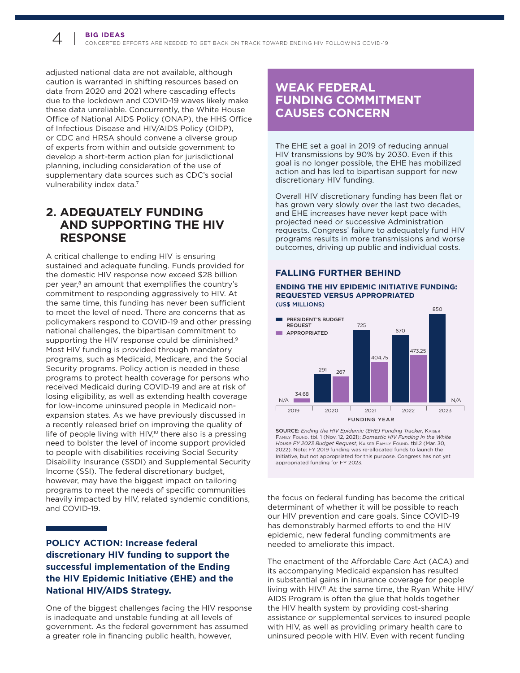adjusted national data are not available, although caution is warranted in shifting resources based on data from 2020 and 2021 where cascading effects due to the lockdown and COVID-19 waves likely make these data unreliable. Concurrently, the White House Office of National AIDS Policy (ONAP), the HHS Office of Infectious Disease and HIV/AIDS Policy (OIDP), or CDC and HRSA should convene a diverse group of experts from within and outside government to develop a short-term action plan for jurisdictional planning, including consideration of the use of supplementary data sources such as CDC's social vulnerability index data.<sup>7</sup>

# **2. ADEQUATELY FUNDING AND SUPPORTING THE HIV RESPONSE**

A critical challenge to ending HIV is ensuring sustained and adequate funding. Funds provided for the domestic HIV response now exceed \$28 billion per year,<sup>8</sup> an amount that exemplifies the country's commitment to responding aggressively to HIV. At the same time, this funding has never been sufficient to meet the level of need. There are concerns that as policymakers respond to COVID-19 and other pressing national challenges, the bipartisan commitment to supporting the HIV response could be diminished.<sup>9</sup> Most HIV funding is provided through mandatory programs, such as Medicaid, Medicare, and the Social Security programs. Policy action is needed in these programs to protect health coverage for persons who received Medicaid during COVID-19 and are at risk of losing eligibility, as well as extending health coverage for low-income uninsured people in Medicaid nonexpansion states. As we have previously discussed in a recently released brief on improving the quality of life of people living with HIV,<sup>10</sup> there also is a pressing need to bolster the level of income support provided to people with disabilities receiving Social Security Disability Insurance (SSDI) and Supplemental Security Income (SSI). The federal discretionary budget, however, may have the biggest impact on tailoring programs to meet the needs of specific communities heavily impacted by HIV, related syndemic conditions, and COVID-19.

### **POLICY ACTION: Increase federal discretionary HIV funding to support the successful implementation of the Ending the HIV Epidemic Initiative (EHE) and the National HIV/AIDS Strategy.**

One of the biggest challenges facing the HIV response is inadequate and unstable funding at all levels of government. As the federal government has assumed a greater role in financing public health, however,

# **WEAK FEDERAL FUNDING COMMITMENT CAUSES CONCERN**

The EHE set a goal in 2019 of reducing annual HIV transmissions by 90% by 2030. Even if this goal is no longer possible, the EHE has mobilized action and has led to bipartisan support for new discretionary HIV funding.

Overall HIV discretionary funding has been flat or has grown very slowly over the last two decades, and EHE increases have never kept pace with projected need or successive Administration requests. Congress' failure to adequately fund HIV programs results in more transmissions and worse outcomes, driving up public and individual costs.

### **FALLING FURTHER BEHIND**

#### **ENDING THE HIV EPIDEMIC INITIATIVE FUNDING: REQUESTED VERSUS APPROPRIATED** (US\$ MILLIONS)



SOURCE: *Ending the HIV Epidemic (EHE) Funding Tracker*, Kaiser Family Found. tbl. 1 (Nov. 12, 2021); *Domestic HIV Funding in the White House FY 2023 Budget Request*, Kaiser Family Found. tbl.2 (Mar. 30, 2022). Note: FY 2019 funding was re-allocated funds to launch the Initiative, but not appropriated for this purpose. Congress has not yet appropriated funding for FY 2023.

the focus on federal funding has become the critical determinant of whether it will be possible to reach our HIV prevention and care goals. Since COVID-19 has demonstrably harmed efforts to end the HIV epidemic, new federal funding commitments are needed to ameliorate this impact.

The enactment of the Affordable Care Act (ACA) and its accompanying Medicaid expansion has resulted in substantial gains in insurance coverage for people living with HIV.<sup>11</sup> At the same time, the Ryan White HIV/ AIDS Program is often the glue that holds together the HIV health system by providing cost-sharing assistance or supplemental services to insured people with HIV, as well as providing primary health care to uninsured people with HIV. Even with recent funding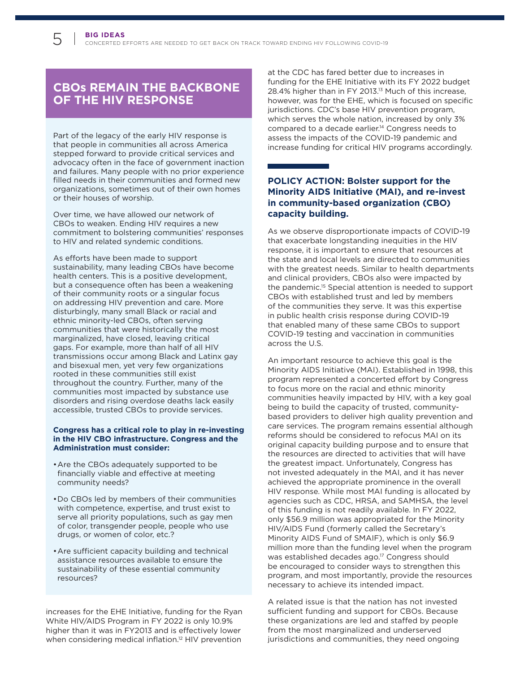# **CBOs REMAIN THE BACKBONE OF THE HIV RESPONSE**

Part of the legacy of the early HIV response is that people in communities all across America stepped forward to provide critical services and advocacy often in the face of government inaction and failures. Many people with no prior experience filled needs in their communities and formed new organizations, sometimes out of their own homes or their houses of worship.

Over time, we have allowed our network of CBOs to weaken. Ending HIV requires a new commitment to bolstering communities' responses to HIV and related syndemic conditions.

As efforts have been made to support sustainability, many leading CBOs have become health centers. This is a positive development, but a consequence often has been a weakening of their community roots or a singular focus on addressing HIV prevention and care. More disturbingly, many small Black or racial and ethnic minority-led CBOs, often serving communities that were historically the most marginalized, have closed, leaving critical gaps. For example, more than half of all HIV transmissions occur among Black and Latinx gay and bisexual men, yet very few organizations rooted in these communities still exist throughout the country. Further, many of the communities most impacted by substance use disorders and rising overdose deaths lack easily accessible, trusted CBOs to provide services.

#### **Congress has a critical role to play in re-investing in the HIV CBO infrastructure. Congress and the Administration must consider:**

- Are the CBOs adequately supported to be financially viable and effective at meeting community needs?
- Do CBOs led by members of their communities with competence, expertise, and trust exist to serve all priority populations, such as gay men of color, transgender people, people who use drugs, or women of color, etc.?
- Are sufficient capacity building and technical assistance resources available to ensure the sustainability of these essential community resources?

increases for the EHE Initiative, funding for the Ryan White HIV/AIDS Program in FY 2022 is only 10.9% higher than it was in FY2013 and is effectively lower when considering medical inflation.<sup>12</sup> HIV prevention

at the CDC has fared better due to increases in funding for the EHE Initiative with its FY 2022 budget 28.4% higher than in FY 2013[.13](#page-7-12) Much of this increase, however, was for the EHE, which is focused on specific jurisdictions. CDC's base HIV prevention program, which serves the whole nation, increased by only 3% compared to a decade earlier[.14](#page-7-13) Congress needs to assess the impacts of the COVID-19 pandemic and increase funding for critical HIV programs accordingly.

### **POLICY ACTION: Bolster support for the Minority AIDS Initiative (MAI), and re-invest in community-based organization (CBO) capacity building.**

As we observe disproportionate impacts of COVID-19 that exacerbate longstanding inequities in the HIV response, it is important to ensure that resources at the state and local levels are directed to communities with the greatest needs. Similar to health departments and clinical providers, CBOs also were impacted by the pandemic[.15](#page-7-14) Special attention is needed to support CBOs with established trust and led by members of the communities they serve. It was this expertise in public health crisis response during COVID-19 that enabled many of these same CBOs to support COVID-19 testing and vaccination in communities across the U.S.

An important resource to achieve this goal is the Minority AIDS Initiative (MAI). Established in 1998, this program represented a concerted effort by Congress to focus more on the racial and ethnic minority communities heavily impacted by HIV, with a key goal being to build the capacity of trusted, communitybased providers to deliver high quality prevention and care services. The program remains essential although reforms should be considered to refocus MAI on its original capacity building purpose and to ensure that the resources are directed to activities that will have the greatest impact. Unfortunately, Congress has not invested adequately in the MAI, and it has never achieved the appropriate prominence in the overall HIV response. While most MAI funding is allocated by agencies such as CDC, HRSA, and SAMHSA, the level of this funding is not readily available. In FY 2022, only \$56.9 million was appropriated for the Minority HIV/AIDS Fund (formerly called the Secretary's Minority AIDS Fund of SMAIF), which is only \$6.9 million more than the funding level when the program was established decades ago.<sup>17</sup> Congress should be encouraged to consider ways to strengthen this program, and most importantly, provide the resources necessary to achieve its intended impact.

A related issue is that the nation has not invested sufficient funding and support for CBOs. Because these organizations are led and staffed by people from the most marginalized and underserved jurisdictions and communities, they need ongoing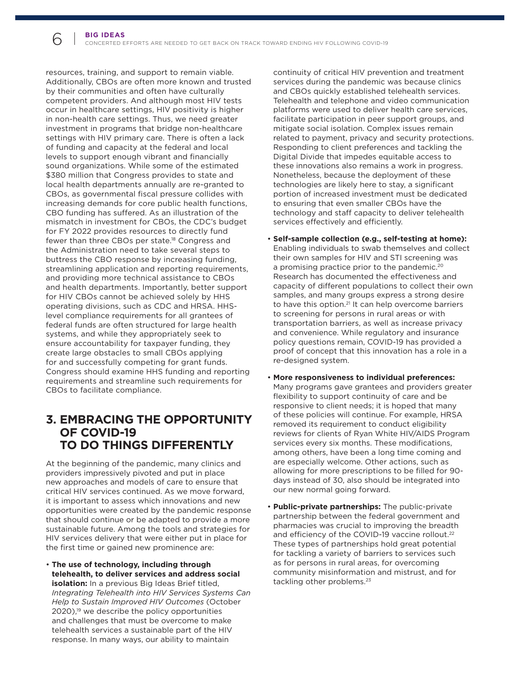resources, training, and support to remain viable. Additionally, CBOs are often more known and trusted by their communities and often have culturally competent providers. And although most HIV tests occur in healthcare settings, HIV positivity is higher in non-health care settings. Thus, we need greater investment in programs that bridge non-healthcare settings with HIV primary care. There is often a lack of funding and capacity at the federal and local levels to support enough vibrant and financially sound organizations. While some of the estimated \$380 million that Congress provides to state and local health departments annually are re-granted to CBOs, as governmental fiscal pressure collides with increasing demands for core public health functions, CBO funding has suffered. As an illustration of the mismatch in investment for CBOs, the CDC's budget for FY 2022 provides resources to directly fund fewer than three CBOs per state.<sup>18</sup> Congress and the Administration need to take several steps to buttress the CBO response by increasing funding, streamlining application and reporting requirements, and providing more technical assistance to CBOs and health departments. Importantly, better support for HIV CBOs cannot be achieved solely by HHS operating divisions, such as CDC and HRSA. HHSlevel compliance requirements for all grantees of federal funds are often structured for large health systems, and while they appropriately seek to ensure accountability for taxpayer funding, they create large obstacles to small CBOs applying for and successfully competing for grant funds. Congress should examine HHS funding and reporting requirements and streamline such requirements for CBOs to facilitate compliance.

### **3. EMBRACING THE OPPORTUNITY OF COVID-19 TO DO THINGS DIFFERENTLY**

At the beginning of the pandemic, many clinics and providers impressively pivoted and put in place new approaches and models of care to ensure that critical HIV services continued. As we move forward, it is important to assess which innovations and new opportunities were created by the pandemic response that should continue or be adapted to provide a more sustainable future. Among the tools and strategies for HIV services delivery that were either put in place for the first time or gained new prominence are:

• **The use of technology, including through telehealth, to deliver services and address social isolation:** In a previous Big Ideas Brief titled, *Integrating Telehealth into HIV Services Systems Can Help to Sustain Improved HIV Outcomes* (October 2020)[,19](#page-7-17) we describe the policy opportunities and challenges that must be overcome to make telehealth services a sustainable part of the HIV response. In many ways, our ability to maintain

continuity of critical HIV prevention and treatment services during the pandemic was because clinics and CBOs quickly established telehealth services. Telehealth and telephone and video communication platforms were used to deliver health care services, facilitate participation in peer support groups, and mitigate social isolation. Complex issues remain related to payment, privacy and security protections. Responding to client preferences and tackling the Digital Divide that impedes equitable access to these innovations also remains a work in progress. Nonetheless, because the deployment of these technologies are likely here to stay, a significant portion of increased investment must be dedicated to ensuring that even smaller CBOs have the technology and staff capacity to deliver telehealth services effectively and efficiently.

- **Self-sample collection (e.g., self-testing at home):**  Enabling individuals to swab themselves and collect their own samples for HIV and STI screening was a promising practice prior to the pandemic.<sup>20</sup> Research has documented the effectiveness and capacity of different populations to collect their own samples, and many groups express a strong desire to have this option.<sup>21</sup> It can help overcome barriers to screening for persons in rural areas or with transportation barriers, as well as increase privacy and convenience. While regulatory and insurance policy questions remain, COVID-19 has provided a proof of concept that this innovation has a role in a re-designed system.
- More responsiveness to individual preferences: Many programs gave grantees and providers greater flexibility to support continuity of care and be responsive to client needs; it is hoped that many of these policies will continue. For example, HRSA removed its requirement to conduct eligibility reviews for clients of Ryan White HIV/AIDS Program services every six months. These modifications, among others, have been a long time coming and are especially welcome. Other actions, such as allowing for more prescriptions to be filled for 90days instead of 30, also should be integrated into our new normal going forward.
- **Public-private partnerships:** The public-private partnership between the federal government and pharmacies was crucial to improving the breadth and efficiency of the COVID-19 vaccine rollout.<sup>[22](#page-7-20)</sup> These types of partnerships hold great potential for tackling a variety of barriers to services such as for persons in rural areas, for overcoming community misinformation and mistrust, and for tackling other problems.<sup>[23](#page-7-21)</sup>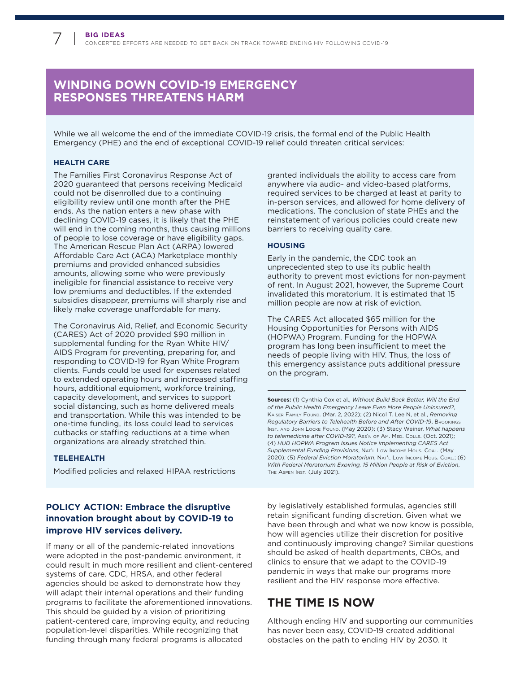# **WINDING DOWN COVID-19 EMERGENCY RESPONSES THREATENS HARM**

While we all welcome the end of the immediate COVID-19 crisis, the formal end of the Public Health Emergency (PHE) and the end of exceptional COVID-19 relief could threaten critical services:

#### **HEALTH CARE**

The Families First Coronavirus Response Act of 2020 guaranteed that persons receiving Medicaid could not be disenrolled due to a continuing eligibility review until one month after the PHE ends. As the nation enters a new phase with declining COVID-19 cases, it is likely that the PHE will end in the coming months, thus causing millions of people to lose coverage or have eligibility gaps. The American Rescue Plan Act (ARPA) lowered Affordable Care Act (ACA) Marketplace monthly premiums and provided enhanced subsidies amounts, allowing some who were previously ineligible for financial assistance to receive very low premiums and deductibles. If the extended subsidies disappear, premiums will sharply rise and likely make coverage unaffordable for many.

The Coronavirus Aid, Relief, and Economic Security (CARES) Act of 2020 provided \$90 million in supplemental funding for the Ryan White HIV/ AIDS Program for preventing, preparing for, and responding to COVID-19 for Ryan White Program clients. Funds could be used for expenses related to extended operating hours and increased staffing hours, additional equipment, workforce training, capacity development, and services to support social distancing, such as home delivered meals and transportation. While this was intended to be one-time funding, its loss could lead to services cutbacks or staffing reductions at a time when organizations are already stretched thin.

#### **TELEHEALTH**

Modified policies and relaxed HIPAA restrictions

### **POLICY ACTION: Embrace the disruptive innovation brought about by COVID-19 to improve HIV services delivery.**

If many or all of the pandemic-related innovations were adopted in the post-pandemic environment, it could result in much more resilient and client-centered systems of care. CDC, HRSA, and other federal agencies should be asked to demonstrate how they will adapt their internal operations and their funding programs to facilitate the aforementioned innovations. This should be guided by a vision of prioritizing patient-centered care, improving equity, and reducing population-level disparities. While recognizing that funding through many federal programs is allocated

granted individuals the ability to access care from anywhere via audio- and video-based platforms, required services to be charged at least at parity to in-person services, and allowed for home delivery of medications. The conclusion of state PHEs and the reinstatement of various policies could create new barriers to receiving quality care.

#### **HOUSING**

Early in the pandemic, the CDC took an unprecedented step to use its public health authority to prevent most evictions for non-payment of rent. In August 2021, however, the Supreme Court invalidated this moratorium. It is estimated that 15 million people are now at risk of eviction.

The CARES Act allocated \$65 million for the Housing Opportunities for Persons with AIDS (HOPWA) Program. Funding for the HOPWA program has long been insufficient to meet the needs of people living with HIV. Thus, the loss of this emergency assistance puts additional pressure on the program.

**Sources:** (1) Cynthia Cox et al., *Without Build Back Better, Will the End of the Public Health Emergency Leave Even More People Uninsured?*, Kaiser Family Found. (Mar. 2, 2022); (2) Nicol T. Lee N, et al., *Removing Regulatory Barriers to Telehealth Before and After COVID-19***, BROOKINGS** INST. AND JOHN LOCKE FOUND. (May 2020); (3) Stacy Weiner, *What happens to telemedicine after COVID-19?*, Ass'n of Am. MFD. Colls. (Oct. 2021); (4) *HUD HOPWA Program Issues Notice Implementing CARES Act*  Supplemental Funding Provisions, NAT'L Low Income Hous. Coal. (May 2020); (5) Federal Eviction Moratorium, NAT'L Low Income Hous. Coal.; (6) *With Federal Moratorium Expiring, 15 Million People at Risk of Eviction*, THE ASPEN INST. (July 2021).

by legislatively established formulas, agencies still retain significant funding discretion. Given what we have been through and what we now know is possible, how will agencies utilize their discretion for positive and continuously improving change? Similar questions should be asked of health departments, CBOs, and clinics to ensure that we adapt to the COVID-19 pandemic in ways that make our programs more resilient and the HIV response more effective.

### **THE TIME IS NOW**

Although ending HIV and supporting our communities has never been easy, COVID-19 created additional obstacles on the path to ending HIV by 2030. It